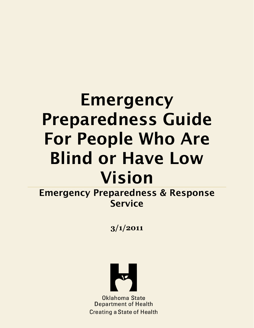# **Emergency Preparedness Guide For People Who Are Blind or Have Low Vision**

## **Emergency Preparedness & Response Service**

**3/1/2011**



Oklahoma State Department of Health **Creating a State of Health**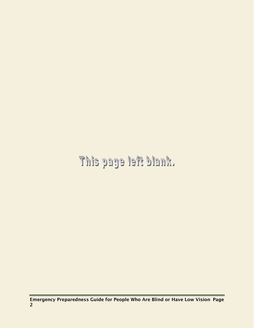## This page left blank.

**Emergency Preparedness Guide for People Who Are Blind or Have Low Vision Page 2**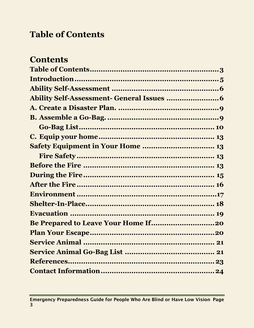## <span id="page-2-0"></span>**Table of Contents**

| <b>Contents</b> |
|-----------------|
|-----------------|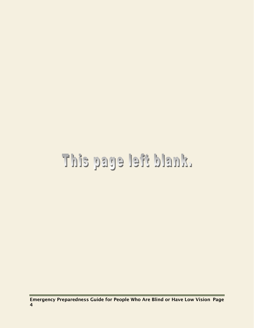## This page left blank.

**Emergency Preparedness Guide for People Who Are Blind or Have Low Vision Page 4**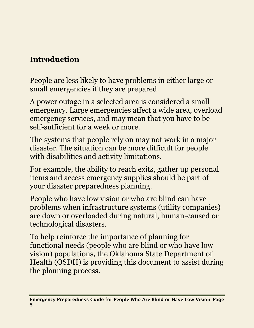#### <span id="page-4-0"></span>**Introduction**

People are less likely to have problems in either large or small emergencies if they are prepared.

A power outage in a selected area is considered a small emergency. Large emergencies affect a wide area, overload emergency services, and may mean that you have to be self-sufficient for a week or more.

The systems that people rely on may not work in a major disaster. The situation can be more difficult for people with disabilities and activity limitations.

For example, the ability to reach exits, gather up personal items and access emergency supplies should be part of your disaster preparedness planning.

People who have low vision or who are blind can have problems when infrastructure systems (utility companies) are down or overloaded during natural, human-caused or technological disasters.

To help reinforce the importance of planning for functional needs (people who are blind or who have low vision) populations, the Oklahoma State Department of Health (OSDH) is providing this document to assist during the planning process.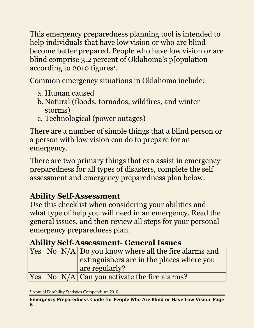This emergency preparedness planning tool is intended to help individuals that have low vision or who are blind become better prepared. People who have low vision or are blind comprise 3.2 percent of Oklahoma's p[opulation according to 2010 figures<sup>1</sup>.

Common emergency situations in Oklahoma include:

- a. Human caused
- b. Natural (floods, tornados, wildfires, and winter storms)
- c. Technological (power outages)

There are a number of simple things that a blind person or a person with low vision can do to prepare for an emergency.

There are two primary things that can assist in emergency preparedness for all types of disasters, complete the self assessment and emergency preparedness plan below:

#### <span id="page-5-0"></span>**Ability Self-Assessment**

Use this checklist when considering your abilities and what type of help you will need in an emergency. Read the general issues, and then review all steps for your personal emergency preparedness plan.

#### <span id="page-5-1"></span>**Ability Self-Assessment- General Issues**

|  | Yes   No   N/A   Do you know where all the fire alarms and |
|--|------------------------------------------------------------|
|  | extinguishers are in the places where you                  |
|  | are regularly?                                             |
|  | Yes $ No N/A $ Can you activate the fire alarms?           |

 <sup>1</sup> Annual Disability Statistics Compendium 2010.

**Emergency Preparedness Guide for People Who Are Blind or Have Low Vision Page 6**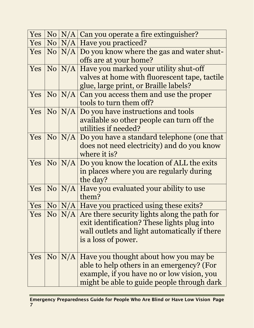| Yes        | N <sub>0</sub>         | N/A | Can you operate a fire extinguisher?                       |
|------------|------------------------|-----|------------------------------------------------------------|
| <b>Yes</b> | $\overline{N_{O}}$     |     | $N/A$ Have you practiced?                                  |
| <b>Yes</b> | N <sub>0</sub>         |     | $N/A$ Do you know where the gas and water shut-            |
|            |                        |     | offs are at your home?                                     |
| <b>Yes</b> | $\overline{N_{O}}$     |     | $N/A$ Have you marked your utility shut-off                |
|            |                        |     | valves at home with fluorescent tape, tactile              |
|            |                        |     | glue, large print, or Braille labels?                      |
| <b>Yes</b> | $\overline{N_{O}}$     |     | $N/A$ Can you access them and use the proper               |
|            |                        |     | tools to turn them off?                                    |
| <b>Yes</b> | $\overline{\text{No}}$ |     | $N/A$ Do you have instructions and tools                   |
|            |                        |     | available so other people can turn off the                 |
|            |                        |     | utilities if needed?                                       |
| <b>Yes</b> | No                     |     | $N/A$ Do you have a standard telephone (one that           |
|            |                        |     | does not need electricity) and do you know                 |
|            |                        |     | where it is?                                               |
| Yes        | $\overline{N_0}$       |     | $N/A$ Do you know the location of ALL the exits            |
|            |                        |     | in places where you are regularly during                   |
|            |                        |     | the day?                                                   |
| <b>Yes</b> |                        |     | No $N/A$ Have you evaluated your ability to use            |
|            |                        |     | them?                                                      |
| Yes        | $\overline{N_{O}}$     |     | $N/A$ Have you practiced using these exits?                |
| Yes        |                        |     | No $N/A$ Are there security lights along the path for      |
|            |                        |     | exit identification? These lights plug into                |
|            |                        |     | wall outlets and light automatically if there              |
|            |                        |     | is a loss of power.                                        |
|            |                        |     |                                                            |
| <b>Yes</b> |                        |     | $\rm{No}$ $\rm{N/A}$ Have you thought about how you may be |
|            |                        |     | able to help others in an emergency? (For                  |
|            |                        |     | example, if you have no or low vision, you                 |
|            |                        |     | might be able to guide people through dark                 |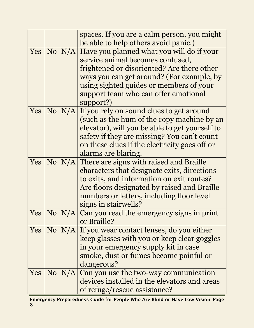|            |  | spaces. If you are a calm person, you might                              |
|------------|--|--------------------------------------------------------------------------|
|            |  |                                                                          |
|            |  | be able to help others avoid panic.)                                     |
| Yes        |  | No $N/A$ Have you planned what you will do if your                       |
|            |  | service animal becomes confused,                                         |
|            |  | frightened or disoriented? Are there other                               |
|            |  | ways you can get around? (For example, by                                |
|            |  | using sighted guides or members of your                                  |
|            |  | support team who can offer emotional                                     |
|            |  | support?)                                                                |
| Yes        |  | No $N/A$ If you rely on sound clues to get around                        |
|            |  | (such as the hum of the copy machine by an                               |
|            |  | elevator), will you be able to get yourself to                           |
|            |  | safety if they are missing? You can't count                              |
|            |  | on these clues if the electricity goes off or                            |
|            |  | alarms are blaring.                                                      |
| Yes        |  | $\overline{N}$ No $\overline{N}$ There are signs with raised and Braille |
|            |  | characters that designate exits, directions                              |
|            |  | to exits, and information on exit routes?                                |
|            |  | Are floors designated by raised and Braille                              |
|            |  | numbers or letters, including floor level                                |
|            |  | signs in stairwells?                                                     |
|            |  |                                                                          |
| Yes        |  | No $N/A$ Can you read the emergency signs in print                       |
|            |  | or Braille?                                                              |
| <b>Yes</b> |  | No $N/A$ If you wear contact lenses, do you either                       |
|            |  | keep glasses with you or keep clear goggles                              |
|            |  | in your emergency supply kit in case                                     |
|            |  | smoke, dust or fumes become painful or                                   |
|            |  | dangerous?                                                               |
| <b>Yes</b> |  | No $N/A$ Can you use the two-way communication                           |
|            |  | devices installed in the elevators and areas                             |
|            |  | of refuge/rescue assistance?                                             |

**Emergency Preparedness Guide for People Who Are Blind or Have Low Vision Page 8**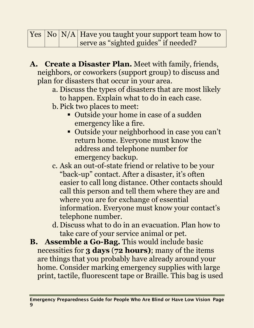|  | Yes   No   N/A   Have you taught your support team how to |
|--|-----------------------------------------------------------|
|  | serve as "sighted guides" if needed?                      |

- <span id="page-8-0"></span>**A. Create a Disaster Plan.** Meet with family, friends, neighbors, or coworkers (support group) to discuss and plan for disasters that occur in your area.
	- a. Discuss the types of disasters that are most likely to happen. Explain what to do in each case.
	- b. Pick two places to meet:
		- Outside your home in case of a sudden emergency like a fire.
		- Outside your neighborhood in case you can't return home. Everyone must know the address and telephone number for emergency backup.
	- c. Ask an out-of-state friend or relative to be your "back-up" contact. After a disaster, it's often easier to call long distance. Other contacts should call this person and tell them where they are and where you are for exchange of essential information. Everyone must know your contact's telephone number.
	- d. Discuss what to do in an evacuation. Plan how to take care of your service animal or pet.
- <span id="page-8-1"></span>**B. Assemble a Go-Bag.** This would include basic necessities for **3 days** (**72 hours)**; many of the items are things that you probably have already around your home. Consider marking emergency supplies with large print, tactile, fluorescent tape or Braille. This bag is used

**Emergency Preparedness Guide for People Who Are Blind or Have Low Vision Page 9**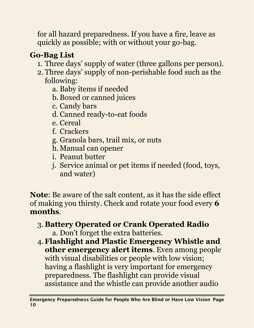for all hazard preparedness. If you have a fire, leave as quickly as possible; with or without your go-bag.

## <span id="page-9-0"></span>**Go-Bag List**

- 1. Three days' supply of water (three gallons per person).
- 2. Three days' supply of non-perishable food such as the following:
	- a. Baby items if needed
	- b. Boxed or canned juices
	- c. Candy bars
	- d.Canned ready-to-eat foods
	- e. Cereal
	- f. Crackers
	- g. Granola bars, trail mix, or nuts
	- h.Manual can opener
	- i. Peanut butter
	- j. Service animal or pet items if needed (food, toys, and water)

**Note**: Be aware of the salt content, as it has the side effect of making you thirsty. Check and rotate your food every **6 months**.

#### 3. **Battery Operated or Crank Operated Radio** a. Don't forget the extra batteries.

4.**Flashlight and Plastic Emergency Whistle and other emergency alert items**. Even among people with visual disabilities or people with low vision; having a flashlight is very important for emergency preparedness. The flashlight can provide visual assistance and the whistle can provide another audio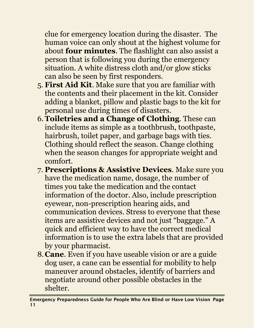clue for emergency location during the disaster. The human voice can only shout at the highest volume for about **four minutes**. The flashlight can also assist a person that is following you during the emergency situation. A white distress cloth and/or glow sticks can also be seen by first responders.

- 5. **First Aid Kit**. Make sure that you are familiar with the contents and their placement in the kit. Consider adding a blanket, pillow and plastic bags to the kit for personal use during times of disasters.
- 6.**Toiletries and a Change of Clothing**. These can include items as simple as a toothbrush, toothpaste, hairbrush, toilet paper, and garbage bags with ties. Clothing should reflect the season. Change clothing when the season changes for appropriate weight and comfort.
- 7. **Prescriptions & Assistive Devices**. Make sure you have the medication name, dosage, the number of times you take the medication and the contact information of the doctor. Also, include prescription eyewear, non-prescription hearing aids, and communication devices. Stress to everyone that these items are assistive devices and not just "baggage." A quick and efficient way to have the correct medical information is to use the extra labels that are provided by your pharmacist.
- 8.**Cane**. Even if you have useable vision or are a guide dog user, a cane can be essential for mobility to help maneuver around obstacles, identify of barriers and negotiate around other possible obstacles in the shelter.

**Emergency Preparedness Guide for People Who Are Blind or Have Low Vision Page 11**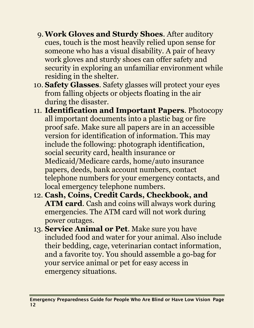- 9.**Work Gloves and Sturdy Shoes**. After auditory cues, touch is the most heavily relied upon sense for someone who has a visual disability. A pair of heavy work gloves and sturdy shoes can offer safety and security in exploring an unfamiliar environment while residing in the shelter.
- 10. **Safety Glasses**. Safety glasses will protect your eyes from falling objects or objects floating in the air during the disaster.
- 11. **Identification and Important Papers**. Photocopy all important documents into a plastic bag or fire proof safe. Make sure all papers are in an accessible version for identification of information. This may include the following: photograph identification, social security card, health insurance or Medicaid/Medicare cards, home/auto insurance papers, deeds, bank account numbers, contact telephone numbers for your emergency contacts, and local emergency telephone numbers.
- 12. **Cash, Coins, Credit Cards, Checkbook, and ATM card**. Cash and coins will always work during emergencies. The ATM card will not work during power outages.
- 13. **Service Animal or Pet**. Make sure you have included food and water for your animal. Also include their bedding, cage, veterinarian contact information, and a favorite toy. You should assemble a go-bag for your service animal or pet for easy access in emergency situations.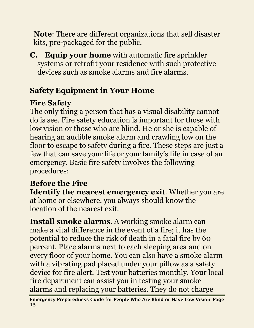**Note**: There are different organizations that sell disaster kits, pre-packaged for the public.

<span id="page-12-0"></span>**C. Equip your home** with automatic fire sprinkler systems or retrofit your residence with such protective devices such as smoke alarms and fire alarms.

## <span id="page-12-1"></span>**Safety Equipment in Your Home**

## <span id="page-12-2"></span>**Fire Safety**

The only thing a person that has a visual disability cannot do is see. Fire safety education is important for those with low vision or those who are blind. He or she is capable of hearing an audible smoke alarm and crawling low on the floor to escape to safety during a fire. These steps are just a few that can save your life or your family's life in case of an emergency. Basic fire safety involves the following procedures:

#### <span id="page-12-3"></span>**Before the Fire Identify the nearest emergency exit**. Whether you are at home or elsewhere, you always should know the location of the nearest exit.

**Install smoke alarms**. A working smoke alarm can make a vital difference in the event of a fire; it has the potential to reduce the risk of death in a fatal fire by 60 percent. Place alarms next to each sleeping area and on every floor of your home. You can also have a smoke alarm with a vibrating pad placed under your pillow as a safety device for fire alert. Test your batteries monthly. Your local fire department can assist you in testing your smoke alarms and replacing your batteries. They do not charge

**Emergency Preparedness Guide for People Who Are Blind or Have Low Vision Page 13**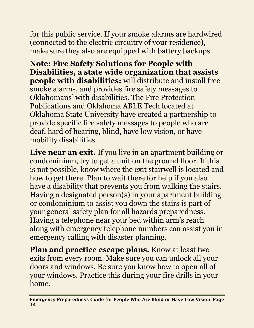for this public service. If your smoke alarms are hardwired (connected to the electric circuitry of your residence), make sure they also are equipped with battery backups.

**Note: Fire Safety Solutions for People with Disabilities, a state wide organization that assists people with disabilities:** will distribute and install free smoke alarms, and provides fire safety messages to Oklahomans' with disabilities. The Fire Protection Publications and Oklahoma ABLE Tech located at Oklahoma State University have created a partnership to provide specific fire safety messages to people who are deaf, hard of hearing, blind, have low vision, or have mobility disabilities.

**Live near an exit.** If you live in an apartment building or condominium, try to get a unit on the ground floor. If this is not possible, know where the exit stairwell is located and how to get there. Plan to wait there for help if you also have a disability that prevents you from walking the stairs. Having a designated person(s) in your apartment building or condominium to assist you down the stairs is part of your general safety plan for all hazards preparedness. Having a telephone near your bed within arm's reach along with emergency telephone numbers can assist you in emergency calling with disaster planning.

**Plan and practice escape plans.** Know at least two exits from every room. Make sure you can unlock all your doors and windows. Be sure you know how to open all of your windows. Practice this during your fire drills in your home.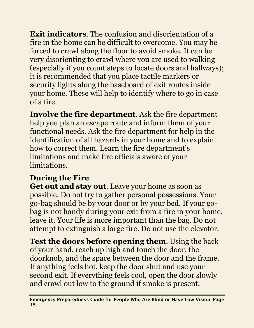**Exit indicators**. The confusion and disorientation of a fire in the home can be difficult to overcome. You may be forced to crawl along the floor to avoid smoke. It can be very disorienting to crawl where you are used to walking (especially if you count steps to locate doors and hallways); it is recommended that you place tactile markers or security lights along the baseboard of exit routes inside your home. These will help to identify where to go in case of a fire.

**Involve the fire department**. Ask the fire department help you plan an escape route and inform them of your functional needs. Ask the fire department for help in the identification of all hazards in your home and to explain how to correct them. Learn the fire department's limitations and make fire officials aware of your limitations.

#### <span id="page-14-0"></span>**During the Fire**

**Get out and stay out**. Leave your home as soon as possible. Do not try to gather personal possessions. Your go-bag should be by your door or by your bed. If your gobag is not handy during your exit from a fire in your home, leave it. Your life is more important than the bag. Do not attempt to extinguish a large fire. Do not use the elevator.

**Test the doors before opening them**. Using the back of your hand, reach up high and touch the door, the doorknob, and the space between the door and the frame. If anything feels hot, keep the door shut and use your second exit. If everything feels cool, open the door slowly and crawl out low to the ground if smoke is present.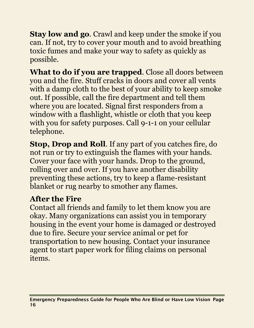**Stay low and go**. Crawl and keep under the smoke if you can. If not, try to cover your mouth and to avoid breathing toxic fumes and make your way to safety as quickly as possible.

**What to do if you are trapped**. Close all doors between you and the fire. Stuff cracks in doors and cover all vents with a damp cloth to the best of your ability to keep smoke out. If possible, call the fire department and tell them where you are located. Signal first responders from a window with a flashlight, whistle or cloth that you keep with you for safety purposes. Call 9-1-1 on your cellular telephone.

**Stop, Drop and Roll**. If any part of you catches fire, do not run or try to extinguish the flames with your hands. Cover your face with your hands. Drop to the ground, rolling over and over. If you have another disability preventing these actions, try to keep a flame-resistant blanket or rug nearby to smother any flames.

#### <span id="page-15-0"></span>**After the Fire**

Contact all friends and family to let them know you are okay. Many organizations can assist you in temporary housing in the event your home is damaged or destroyed due to fire. Secure your service animal or pet for transportation to new housing. Contact your insurance agent to start paper work for filing claims on personal items.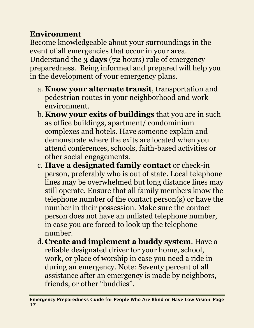#### <span id="page-16-0"></span>**Environment**

Become knowledgeable about your surroundings in the event of all emergencies that occur in your area. Understand the **3 days** (**72** hours) rule of emergency preparedness. Being informed and prepared will help you in the development of your emergency plans.

- a. **Know your alternate transit**, transportation and pedestrian routes in your neighborhood and work environment.
- b. **Know your exits of buildings** that you are in such as office buildings, apartment/ condominium complexes and hotels. Have someone explain and demonstrate where the exits are located when you attend conferences, schools, faith-based activities or other social engagements.
- c. **Have a designated family contact** or check-in person, preferably who is out of state. Local telephone lines may be overwhelmed but long distance lines may still operate. Ensure that all family members know the telephone number of the contact person(s) or have the number in their possession. Make sure the contact person does not have an unlisted telephone number, in case you are forced to look up the telephone number.
- d. **Create and implement a buddy system**. Have a reliable designated driver for your home, school, work, or place of worship in case you need a ride in during an emergency. Note: Seventy percent of all assistance after an emergency is made by neighbors, friends, or other "buddies".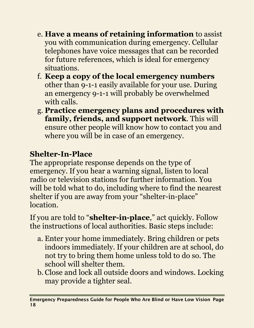- e. **Have a means of retaining information** to assist you with communication during emergency. Cellular telephones have voice messages that can be recorded for future references, which is ideal for emergency situations.
- f. **Keep a copy of the local emergency numbers** other than 9-1-1 easily available for your use. During an emergency 9-1-1 will probably be overwhelmed with calls.
- g. **Practice emergency plans and procedures with family, friends, and support network**. This will ensure other people will know how to contact you and where you will be in case of an emergency.

#### <span id="page-17-0"></span>**Shelter-In-Place**

The appropriate response depends on the type of emergency. If you hear a warning signal, listen to local radio or television stations for further information. You will be told what to do, including where to find the nearest shelter if you are away from your "shelter-in-place" location.

If you are told to "**shelter-in-place**, " act quickly. Follow the instructions of local authorities. Basic steps include:

- a. Enter your home immediately. Bring children or pets indoors immediately. If your children are at school, do not try to bring them home unless told to do so. The school will shelter them.
- b. Close and lock all outside doors and windows. Locking may provide a tighter seal.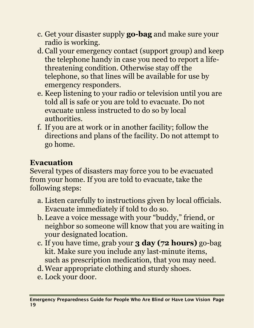- c. Get your disaster supply **go-bag** and make sure your radio is working.
- d.Call your emergency contact (support group) and keep the telephone handy in case you need to report a lifethreatening condition. Otherwise stay off the telephone, so that lines will be available for use by emergency responders.
- e. Keep listening to your radio or television until you are told all is safe or you are told to evacuate. Do not evacuate unless instructed to do so by local authorities.
- f. If you are at work or in another facility; follow the directions and plans of the facility. Do not attempt to go home.

### <span id="page-18-0"></span>**Evacuation**

Several types of disasters may force you to be evacuated from your home. If you are told to evacuate, take the following steps:

- a. Listen carefully to instructions given by local officials. Evacuate immediately if told to do so.
- b. Leave a voice message with your "buddy," friend, or neighbor so someone will know that you are waiting in your designated location.
- c. If you have time, grab your **3 day (72 hours)** go-bag kit. Make sure you include any last-minute items, such as prescription medication, that you may need.
- d.Wear appropriate clothing and sturdy shoes.
- e. Lock your door.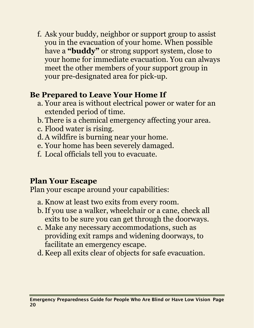f. Ask your buddy, neighbor or support group to assist you in the evacuation of your home. When possible have a **"buddy"** or strong support system, close to your home for immediate evacuation. You can always meet the other members of your support group in your pre-designated area for pick-up.

#### <span id="page-19-0"></span>**Be Prepared to Leave Your Home If**

- a. Your area is without electrical power or water for an extended period of time.
- b. There is a chemical emergency affecting your area.
- c. Flood water is rising.
- d.A wildfire is burning near your home.
- e. Your home has been severely damaged.
- f. Local officials tell you to evacuate.

#### <span id="page-19-1"></span>**Plan Your Escape**

Plan your escape around your capabilities:

- a. Know at least two exits from every room.
- b.If you use a walker, wheelchair or a cane, check all exits to be sure you can get through the doorways.
- c. Make any necessary accommodations, such as providing exit ramps and widening doorways, to facilitate an emergency escape.
- d.Keep all exits clear of objects for safe evacuation.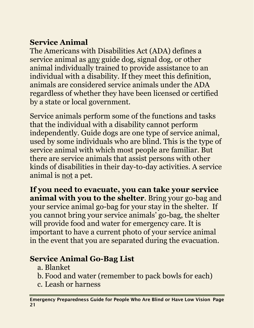#### <span id="page-20-0"></span>**Service Animal**

The Americans with Disabilities Act (ADA) defines a service animal as any guide dog, signal dog, or other animal individually trained to provide assistance to an individual with a disability. If they meet this definition, animals are considered service animals under the ADA regardless of whether they have been licensed or certified by a state or local government.

Service animals perform some of the functions and tasks that the individual with a disability cannot perform independently. Guide dogs are one type of service animal, used by some individuals who are blind. This is the type of service animal with which most people are familiar. But there are service animals that assist persons with other kinds of disabilities in their day-to-day activities. A service animal is <u>not</u> a pet.

**If you need to evacuate, you can take your service animal with you to the shelter**. Bring your go-bag and your service animal go-bag for your stay in the shelter. If you cannot bring your service animals' go-bag, the shelter will provide food and water for emergency care. It is important to have a current photo of your service animal in the event that you are separated during the evacuation.

## <span id="page-20-1"></span>**Service Animal Go-Bag List**

- a. Blanket
- b. Food and water (remember to pack bowls for each)
- c. Leash or harness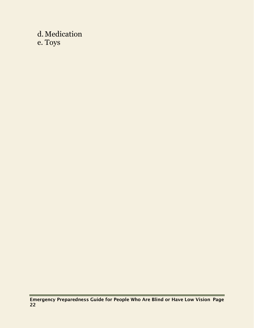#### d. Medication e. Toys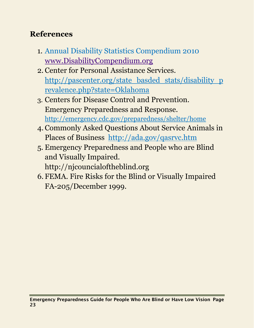#### <span id="page-22-0"></span>**References**

- 1. Annual Disability Statistics Compendium 2010 [www.DisabilityCompendium.org](http://www.disabilitycompendium.org/)
- 2. Center for Personal Assistance Services. [http://pascenter.org/state\\_basded\\_stats/disability\\_p](http://pascenter.org/state_basded_stats/disability_prevalence.php?state=Oklahoma) [revalence.php?state=Oklahoma](http://pascenter.org/state_basded_stats/disability_prevalence.php?state=Oklahoma)
- 3. Centers for Disease Control and Prevention. Emergency Preparedness and Response. <http://emergency.cdc.gov/preparedness/shelter/home>
- 4. Commonly Asked Questions About Service Animals in Places of Business <http://ada.gov/qasrvc.htm>
- 5. Emergency Preparedness and People who are Blind and Visually Impaired. http://njcouncialoftheblind.org
- 6. FEMA. Fire Risks for the Blind or Visually Impaired FA-205/December 1999.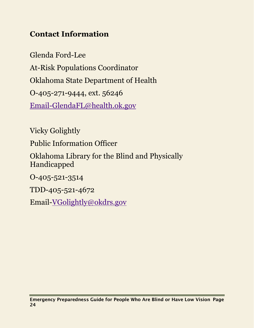#### <span id="page-23-0"></span>**Contact Information**

Glenda Ford-Lee At-Risk Populations Coordinator Oklahoma State Department of Health O-405-271-9444, ext. 56246 [Email-GlendaFL@health.ok.gov](mailto:Email-GlendaFL@health.ok.gov)

Vicky Golightly

Public Information Officer

Oklahoma Library for the Blind and Physically Handicapped

O-405-521-3514

TDD-405-521-4672

Email[-VGolightly@okdrs.gov](mailto:VGolightly@okdrs.gov)